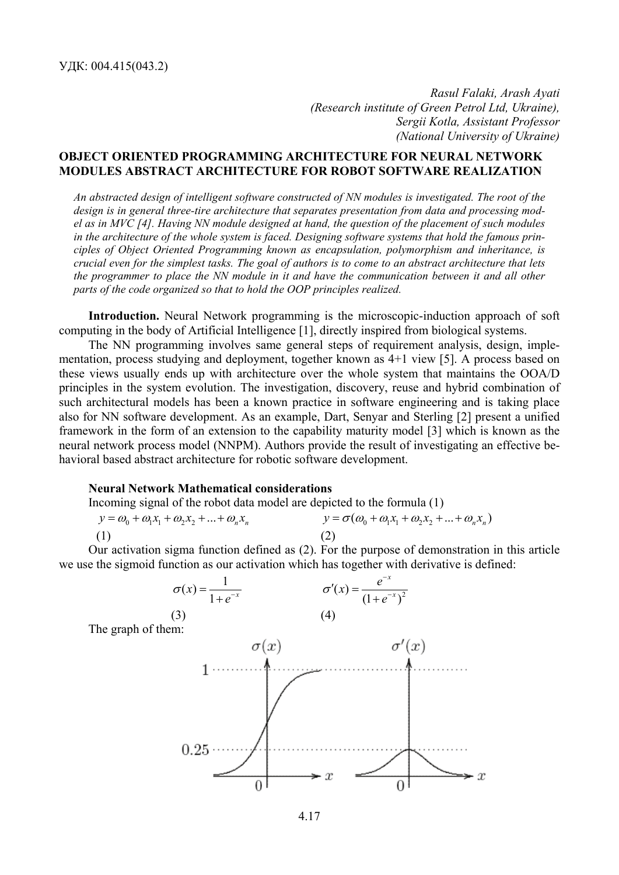*Rasul Falaki, Arash Ayati (Research institute of Green Petrol Ltd, Ukraine), Sergii Kotla, Assistant Professor (National University of Ukraine)* 

# **OBJECT ORIENTED PROGRAMMING ARCHITECTURE FOR NEURAL NETWORK MODULES ABSTRACT ARCHITECTURE FOR ROBOT SOFTWARE REALIZATION**

*An abstracted design of intelligent software constructed of NN modules is investigated. The root of the design is in general three-tire architecture that separates presentation from data and processing model as in MVC [4]. Having NN module designed at hand, the question of the placement of such modules in the architecture of the whole system is faced. Designing software systems that hold the famous principles of Object Oriented Programming known as encapsulation, polymorphism and inheritance, is crucial even for the simplest tasks. The goal of authors is to come to an abstract architecture that lets the programmer to place the NN module in it and have the communication between it and all other parts of the code organized so that to hold the OOP principles realized.* 

**Introduction.** Neural Network programming is the microscopic-induction approach of soft computing in the body of Artificial Intelligence [1], directly inspired from biological systems.

The NN programming involves same general steps of requirement analysis, design, implementation, process studying and deployment, together known as 4+1 view [5]. A process based on these views usually ends up with architecture over the whole system that maintains the OOA/D principles in the system evolution. The investigation, discovery, reuse and hybrid combination of such architectural models has been a known practice in software engineering and is taking place also for NN software development. As an example, Dart, Senyar and Sterling [2] present a unified framework in the form of an extension to the capability maturity model [3] which is known as the neural network process model (NNPM). Authors provide the result of investigating an effective behavioral based abstract architecture for robotic software development.

#### **Neural Network Mathematical considerations**

Incoming signal of the robot data model are depicted to the formula (1)

$$
y = \omega_0 + \omega_1 x_1 + \omega_2 x_2 + \dots + \omega_n x_n
$$
  
\n
$$
y = \sigma(\omega_0 + \omega_1 x_1 + \omega_2 x_2 + \dots + \omega_n x_n)
$$
  
\n(1) (2)

Our activation sigma function defined as (2). For the purpose of demonstration in this article we use the sigmoid function as our activation which has together with derivative is defined:



4.17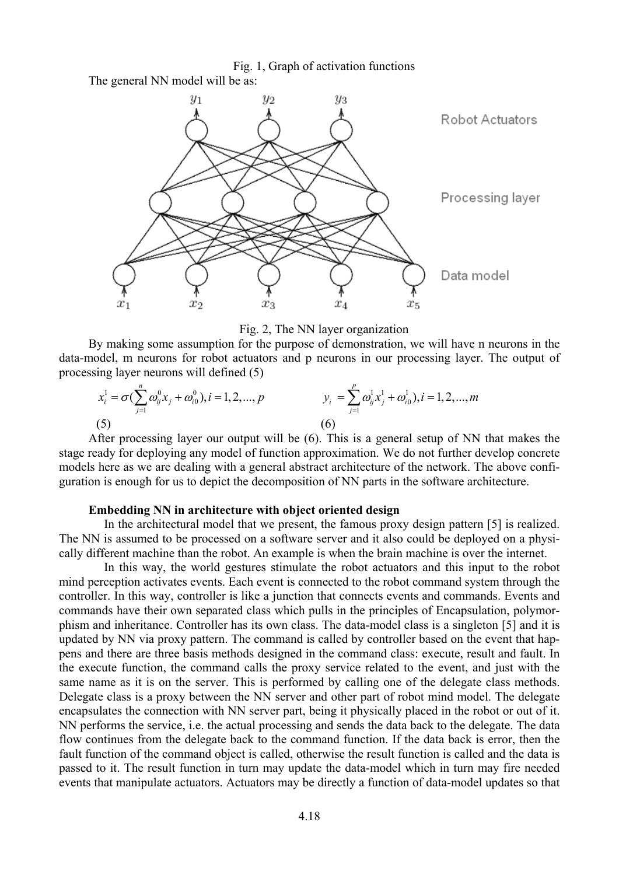Fig. 1, Graph of activation functions The general NN model will be as:



Fig. 2, The NN layer organization

By making some assumption for the purpose of demonstration, we will have n neurons in the data-model, m neurons for robot actuators and p neurons in our processing layer. The output of processing layer neurons will defined (5)

$$
x_i^1 = \sigma(\sum_{j=1}^n \omega_{ij}^0 x_j + \omega_{i0}^0), i = 1, 2, ..., p
$$
  
\n(5)  
\n
$$
y_i = \sum_{j=1}^p \omega_{ij}^1 x_j^1 + \omega_{i0}^1), i = 1, 2, ..., m
$$
  
\n(6)

After processing layer our output will be (6). This is a general setup of NN that makes the stage ready for deploying any model of function approximation. We do not further develop concrete models here as we are dealing with a general abstract architecture of the network. The above configuration is enough for us to depict the decomposition of NN parts in the software architecture.

### **Embedding NN in architecture with object oriented design**

 In the architectural model that we present, the famous proxy design pattern [5] is realized. The NN is assumed to be processed on a software server and it also could be deployed on a physically different machine than the robot. An example is when the brain machine is over the internet.

 In this way, the world gestures stimulate the robot actuators and this input to the robot mind perception activates events. Each event is connected to the robot command system through the controller. In this way, controller is like a junction that connects events and commands. Events and commands have their own separated class which pulls in the principles of Encapsulation, polymorphism and inheritance. Controller has its own class. The data-model class is a singleton [5] and it is updated by NN via proxy pattern. The command is called by controller based on the event that happens and there are three basis methods designed in the command class: execute, result and fault. In the execute function, the command calls the proxy service related to the event, and just with the same name as it is on the server. This is performed by calling one of the delegate class methods. Delegate class is a proxy between the NN server and other part of robot mind model. The delegate encapsulates the connection with NN server part, being it physically placed in the robot or out of it. NN performs the service, i.e. the actual processing and sends the data back to the delegate. The data flow continues from the delegate back to the command function. If the data back is error, then the fault function of the command object is called, otherwise the result function is called and the data is passed to it. The result function in turn may update the data-model which in turn may fire needed events that manipulate actuators. Actuators may be directly a function of data-model updates so that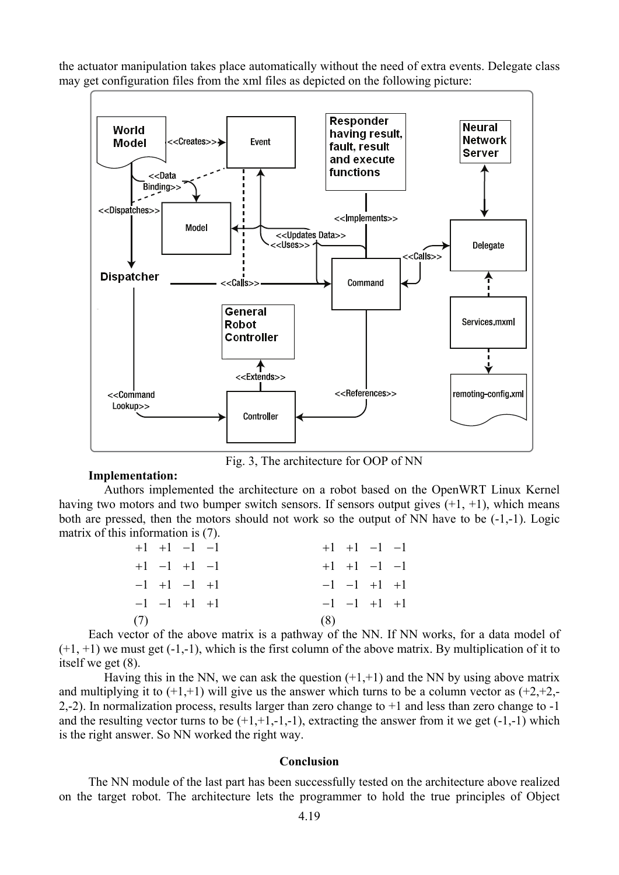the actuator manipulation takes place automatically without the need of extra events. Delegate class may get configuration files from the xml files as depicted on the following picture:



Fig. 3, The architecture for OOP of NN

## **Implementation:**

 Authors implemented the architecture on a robot based on the OpenWRT Linux Kernel having two motors and two bumper switch sensors. If sensors output gives  $(+1, +1)$ , which means both are pressed, then the motors should not work so the output of NN have to be (-1,-1). Logic matrix of this information is (7).

| $+1$ $+1$ $-1$ $-1$ |     | $+1$ $+1$ $-1$ $-1$ |  |
|---------------------|-----|---------------------|--|
| $+1$ $-1$ $+1$ $-1$ |     | $+1$ $+1$ $-1$ $-1$ |  |
| $-1$ +1 $-1$ +1     |     | $-1$ $-1$ $+1$ $+1$ |  |
| $-1$ $-1$ $+1$ $+1$ |     | $-1$ $-1$ $+1$ $+1$ |  |
| (7)                 | (8) |                     |  |

Each vector of the above matrix is a pathway of the NN. If NN works, for a data model of  $(+1, +1)$  we must get  $(-1, -1)$ , which is the first column of the above matrix. By multiplication of it to itself we get (8).

Having this in the NN, we can ask the question  $(+1, +1)$  and the NN by using above matrix and multiplying it to  $(+1,+1)$  will give us the answer which turns to be a column vector as  $(+2,+2,-1)$ 2,-2). In normalization process, results larger than zero change to +1 and less than zero change to -1 and the resulting vector turns to be  $(+1,+1,-1,-1)$ , extracting the answer from it we get  $(-1,-1)$  which is the right answer. So NN worked the right way.

### **Conclusion**

The NN module of the last part has been successfully tested on the architecture above realized on the target robot. The architecture lets the programmer to hold the true principles of Object